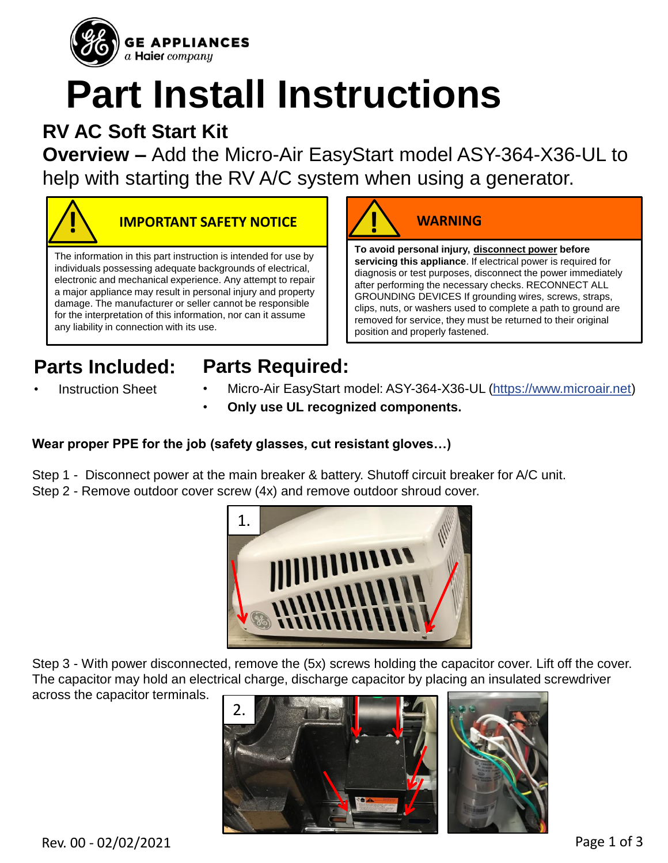

# **Part Install Instructions**

## **RV AC Soft Start Kit**

**Overview –** Add the Micro-Air EasyStart model ASY-364-X36-UL to help with starting the RV A/C system when using a generator.



#### **IMPORTANT SAFETY NOTICE**

The information in this part instruction is intended for use by individuals possessing adequate backgrounds of electrical, electronic and mechanical experience. Any attempt to repair a major appliance may result in personal injury and property damage. The manufacturer or seller cannot be responsible for the interpretation of this information, nor can it assume any liability in connection with its use.



**servicing this appliance**. If electrical power is required for diagnosis or test purposes, disconnect the power immediately after performing the necessary checks. RECONNECT ALL GROUNDING DEVICES If grounding wires, screws, straps, clips, nuts, or washers used to complete a path to ground are removed for service, they must be returned to their original position and properly fastened.

**Parts Included: Instruction Sheet** 

### **Parts Required:**

- Micro-Air EasyStart model: ASY-364-X36-UL (https://www.microair.net)
- **Only use UL recognized components.**

#### **Wear proper PPE for the job (safety glasses, cut resistant gloves…)**

- Step 1 Disconnect power at the main breaker & battery. Shutoff circuit breaker for A/C unit.
- Step 2 Remove outdoor cover screw (4x) and remove outdoor shroud cover.



Step 3 - With power disconnected, remove the (5x) screws holding the capacitor cover. Lift off the cover. The capacitor may hold an electrical charge, discharge capacitor by placing an insulated screwdriver



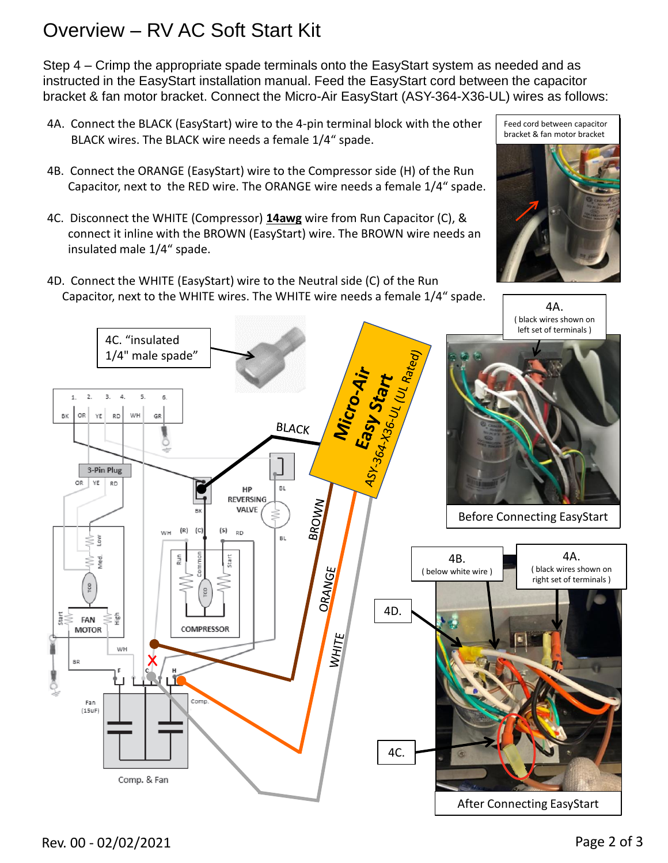#### Overview – RV AC Soft Start Kit

Step 4 – Crimp the appropriate spade terminals onto the EasyStart system as needed and as instructed in the EasyStart installation manual. Feed the EasyStart cord between the capacitor bracket & fan motor bracket. Connect the Micro-Air EasyStart (ASY-364-X36-UL) wires as follows:

- 4A. Connect the BLACK (EasyStart) wire to the 4-pin terminal block with the other BLACK wires. The BLACK wire needs a female 1/4" spade.
- 4B. Connect the ORANGE (EasyStart) wire to the Compressor side (H) of the Run Capacitor, next to the RED wire. The ORANGE wire needs a female 1/4" spade.
- 4C. Disconnect the WHITE (Compressor) **14awg** wire from Run Capacitor (C), & connect it inline with the BROWN (EasyStart) wire. The BROWN wire needs an insulated male 1/4" spade.
- 4D. Connect the WHITE (EasyStart) wire to the Neutral side (C) of the Run Capacitor, next to the WHITE wires. The WHITE wire needs a female 1/4" spade.

Feed cord between capacitor bracket & fan motor bracket